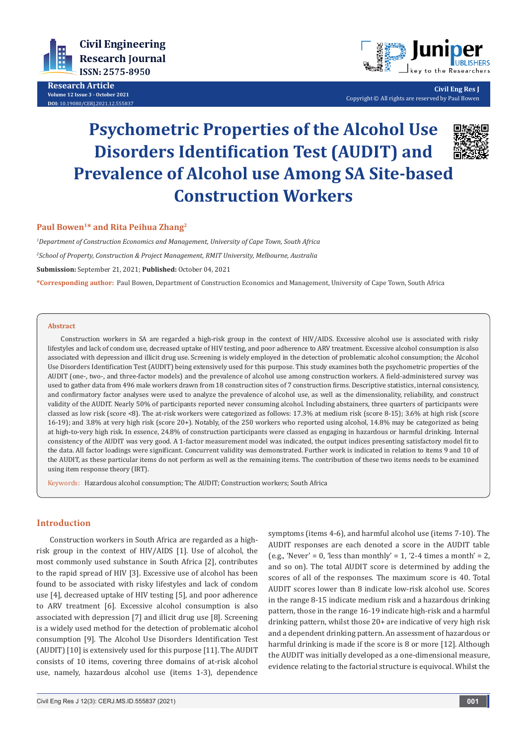

**Research Article Volume 12 Issue 3 - October 2021 DOI:** [10.19080/CERJ.2021.12.55583](http://dx.doi.org/10.19080/CERJ.2021.12.555837)7



**Civil Eng Res J** Copyright © All rights are reserved by Paul Bowen

# **Psychometric Properties of the Alcohol Use Disorders Identification Test (AUDIT) and Prevalence of Alcohol use Among SA Site-based Construction Workers**



## **Paul Bowen1\* and Rita Peihua Zhang2**

*1 Department of Construction Economics and Management, University of Cape Town, South Africa 2 School of Property, Construction & Project Management, RMIT University, Melbourne, Australia* **Submission:** September 21, 2021; **Published:** October 04, 2021

**\*Corresponding author:** Paul Bowen, Department of Construction Economics and Management, University of Cape Town, South Africa

### **Abstract**

Construction workers in SA are regarded a high-risk group in the context of HIV/AIDS. Excessive alcohol use is associated with risky lifestyles and lack of condom use, decreased uptake of HIV testing, and poor adherence to ARV treatment. Excessive alcohol consumption is also associated with depression and illicit drug use. Screening is widely employed in the detection of problematic alcohol consumption; the Alcohol Use Disorders Identification Test (AUDIT) being extensively used for this purpose. This study examines both the psychometric properties of the AUDIT (one-, two-, and three-factor models) and the prevalence of alcohol use among construction workers. A field-administered survey was used to gather data from 496 male workers drawn from 18 construction sites of 7 construction firms. Descriptive statistics, internal consistency, and confirmatory factor analyses were used to analyze the prevalence of alcohol use, as well as the dimensionality, reliability, and construct validity of the AUDIT. Nearly 50% of participants reported never consuming alcohol. Including abstainers, three quarters of participants were classed as low risk (score <8). The at-risk workers were categorized as follows: 17.3% at medium risk (score 8-15); 3.6% at high risk (score 16-19); and 3.8% at very high risk (score 20+). Notably, of the 250 workers who reported using alcohol, 14.8% may be categorized as being at high-to-very high risk. In essence, 24.8% of construction participants were classed as engaging in hazardous or harmful drinking. Internal consistency of the AUDIT was very good. A 1-factor measurement model was indicated, the output indices presenting satisfactory model fit to the data. All factor loadings were significant. Concurrent validity was demonstrated. Further work is indicated in relation to items 9 and 10 of the AUDIT, as these particular items do not perform as well as the remaining items. The contribution of these two items needs to be examined using item response theory (IRT).

Keywords: Hazardous alcohol consumption; The AUDIT; Construction workers; South Africa

### **Introduction**

Construction workers in South Africa are regarded as a highrisk group in the context of HIV/AIDS [1]. Use of alcohol, the most commonly used substance in South Africa [2], contributes to the rapid spread of HIV [3]. Excessive use of alcohol has been found to be associated with risky lifestyles and lack of condom use [4], decreased uptake of HIV testing [5], and poor adherence to ARV treatment [6]. Excessive alcohol consumption is also associated with depression [7] and illicit drug use [8]. Screening is a widely used method for the detection of problematic alcohol consumption [9]. The Alcohol Use Disorders Identification Test (AUDIT) [10] is extensively used for this purpose [11]. The AUDIT consists of 10 items, covering three domains of at-risk alcohol use, namely, hazardous alcohol use (items 1-3), dependence

symptoms (items 4-6), and harmful alcohol use (items 7-10). The AUDIT responses are each denoted a score in the AUDIT table (e.g., 'Never' = 0, 'less than monthly' = 1, '2-4 times a month' = 2, and so on). The total AUDIT score is determined by adding the scores of all of the responses. The maximum score is 40. Total AUDIT scores lower than 8 indicate low-risk alcohol use. Scores in the range 8-15 indicate medium risk and a hazardous drinking pattern, those in the range 16-19 indicate high-risk and a harmful drinking pattern, whilst those 20+ are indicative of very high risk and a dependent drinking pattern. An assessment of hazardous or harmful drinking is made if the score is 8 or more [12]. Although the AUDIT was initially developed as a one-dimensional measure, evidence relating to the factorial structure is equivocal. Whilst the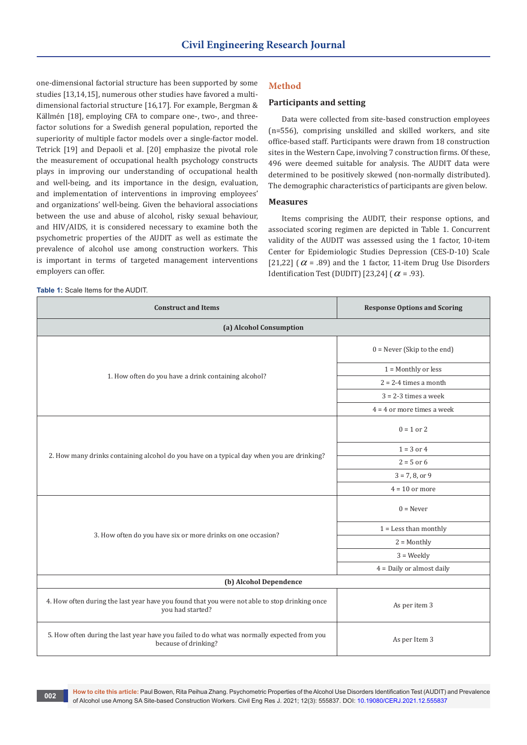one-dimensional factorial structure has been supported by some studies [13,14,15], numerous other studies have favored a multidimensional factorial structure [16,17]. For example, Bergman & Källmén [18], employing CFA to compare one-, two-, and threefactor solutions for a Swedish general population, reported the superiority of multiple factor models over a single-factor model. Tetrick [19] and Depaoli et al. [20] emphasize the pivotal role the measurement of occupational health psychology constructs plays in improving our understanding of occupational health and well-being, and its importance in the design, evaluation, and implementation of interventions in improving employees' and organizations' well-being. Given the behavioral associations between the use and abuse of alcohol, risky sexual behaviour, and HIV/AIDS, it is considered necessary to examine both the psychometric properties of the AUDIT as well as estimate the prevalence of alcohol use among construction workers. This is important in terms of targeted management interventions employers can offer.

#### **Table 1:** Scale Items for the AUDIT.

### **Method**

### **Participants and setting**

Data were collected from site-based construction employees (n=556), comprising unskilled and skilled workers, and site office-based staff. Participants were drawn from 18 construction sites in the Western Cape, involving 7 construction firms. Of these, 496 were deemed suitable for analysis. The AUDIT data were determined to be positively skewed (non-normally distributed). The demographic characteristics of participants are given below.

### **Measures**

Items comprising the AUDIT, their response options, and associated scoring regimen are depicted in Table 1. Concurrent validity of the AUDIT was assessed using the 1 factor, 10-item Center for Epidemiologic Studies Depression (CES-D-10) Scale [21,22] ( $\alpha$  = .89) and the 1 factor, 11-item Drug Use Disorders Identification Test (DUDIT) [23,24] ( $\alpha$  = .93).

| <b>Construct and Items</b>                                                                                          | <b>Response Options and Scoring</b> |  |  |  |  |
|---------------------------------------------------------------------------------------------------------------------|-------------------------------------|--|--|--|--|
| (a) Alcohol Consumption                                                                                             |                                     |  |  |  |  |
|                                                                                                                     | $0 =$ Never (Skip to the end)       |  |  |  |  |
|                                                                                                                     | $1 =$ Monthly or less               |  |  |  |  |
| 1. How often do you have a drink containing alcohol?                                                                | $2 = 2-4$ times a month             |  |  |  |  |
|                                                                                                                     | $3 = 2-3$ times a week              |  |  |  |  |
|                                                                                                                     | $4 = 4$ or more times a week        |  |  |  |  |
|                                                                                                                     | $0 = 1$ or 2                        |  |  |  |  |
|                                                                                                                     | $1 = 3$ or 4                        |  |  |  |  |
| 2. How many drinks containing alcohol do you have on a typical day when you are drinking?                           | $2 = 5$ or 6                        |  |  |  |  |
|                                                                                                                     | $3 = 7, 8, or 9$                    |  |  |  |  |
|                                                                                                                     | $4 = 10$ or more                    |  |  |  |  |
|                                                                                                                     | $0 =$ Never                         |  |  |  |  |
| 3. How often do you have six or more drinks on one occasion?                                                        | $1 =$ Less than monthly             |  |  |  |  |
|                                                                                                                     | $2 =$ Monthly                       |  |  |  |  |
|                                                                                                                     | $3 = \text{Weekly}$                 |  |  |  |  |
|                                                                                                                     | $4 =$ Daily or almost daily         |  |  |  |  |
| (b) Alcohol Dependence                                                                                              |                                     |  |  |  |  |
| 4. How often during the last year have you found that you were not able to stop drinking once<br>you had started?   | As per item 3                       |  |  |  |  |
| 5. How often during the last year have you failed to do what was normally expected from you<br>because of drinking? | As per Item 3                       |  |  |  |  |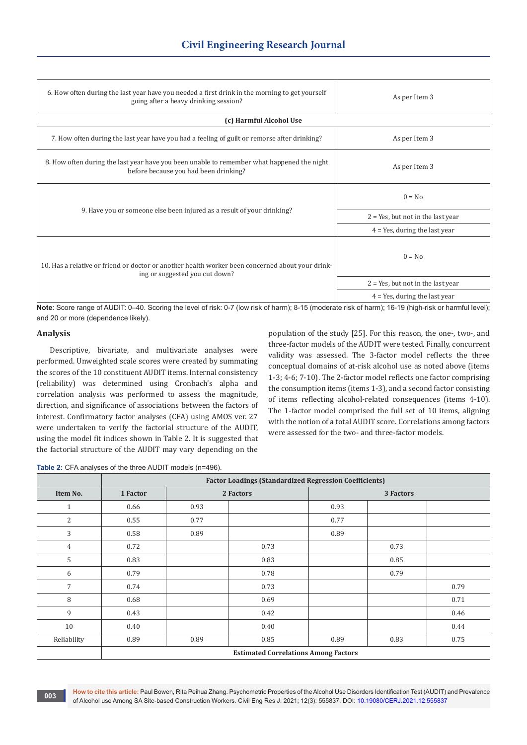| 6. How often during the last year have you needed a first drink in the morning to get yourself<br>going after a heavy drinking session? | As per Item 3                        |  |  |  |  |
|-----------------------------------------------------------------------------------------------------------------------------------------|--------------------------------------|--|--|--|--|
| (c) Harmful Alcohol Use                                                                                                                 |                                      |  |  |  |  |
| 7. How often during the last year have you had a feeling of guilt or remorse after drinking?                                            | As per Item 3                        |  |  |  |  |
| 8. How often during the last year have you been unable to remember what happened the night<br>before because you had been drinking?     | As per Item 3                        |  |  |  |  |
| 9. Have you or someone else been injured as a result of your drinking?                                                                  | $0 = No$                             |  |  |  |  |
|                                                                                                                                         | $2 = Yes$ , but not in the last year |  |  |  |  |
|                                                                                                                                         | $4$ = Yes, during the last year      |  |  |  |  |
| 10. Has a relative or friend or doctor or another health worker been concerned about your drink-<br>ing or suggested you cut down?      | $0 = No$                             |  |  |  |  |
|                                                                                                                                         | $2 = Yes$ , but not in the last year |  |  |  |  |
|                                                                                                                                         | $4$ = Yes, during the last year      |  |  |  |  |

**Note**: Score range of AUDIT: 0–40. Scoring the level of risk: 0-7 (low risk of harm); 8-15 (moderate risk of harm); 16-19 (high-risk or harmful level); and 20 or more (dependence likely).

### **Analysis**

Descriptive, bivariate, and multivariate analyses were performed. Unweighted scale scores were created by summating the scores of the 10 constituent AUDIT items. Internal consistency (reliability) was determined using Cronbach's alpha and correlation analysis was performed to assess the magnitude, direction, and significance of associations between the factors of interest. Confirmatory factor analyses (CFA) using AMOS ver. 27 were undertaken to verify the factorial structure of the AUDIT, using the model fit indices shown in Table 2. It is suggested that the factorial structure of the AUDIT may vary depending on the

population of the study [25]. For this reason, the one-, two-, and three-factor models of the AUDIT were tested. Finally, concurrent validity was assessed. The 3-factor model reflects the three conceptual domains of at-risk alcohol use as noted above (items 1-3; 4-6; 7-10). The 2-factor model reflects one factor comprising the consumption items (items 1-3), and a second factor consisting of items reflecting alcohol-related consequences (items 4-10). The 1-factor model comprised the full set of 10 items, aligning with the notion of a total AUDIT score. Correlations among factors were assessed for the two- and three-factor models.

**Table 2:** CFA analyses of the three AUDIT models (n=496).

|                | <b>Factor Loadings (Standardized Regression Coefficients)</b> |           |      |           |      |      |
|----------------|---------------------------------------------------------------|-----------|------|-----------|------|------|
| Item No.       | 1 Factor                                                      | 2 Factors |      | 3 Factors |      |      |
| $\mathbf{1}$   | 0.66                                                          | 0.93      |      | 0.93      |      |      |
| 2              | 0.55                                                          | 0.77      |      | 0.77      |      |      |
| 3              | 0.58                                                          | 0.89      |      | 0.89      |      |      |
| $\overline{4}$ | 0.72                                                          |           | 0.73 |           | 0.73 |      |
| 5              | 0.83                                                          |           | 0.83 |           | 0.85 |      |
| 6              | 0.79                                                          |           | 0.78 |           | 0.79 |      |
| 7              | 0.74                                                          |           | 0.73 |           |      | 0.79 |
| 8              | 0.68                                                          |           | 0.69 |           |      | 0.71 |
| 9              | 0.43                                                          |           | 0.42 |           |      | 0.46 |
| 10             | 0.40                                                          |           | 0.40 |           |      | 0.44 |
| Reliability    | 0.89                                                          | 0.89      | 0.85 | 0.89      | 0.83 | 0.75 |
|                | <b>Estimated Correlations Among Factors</b>                   |           |      |           |      |      |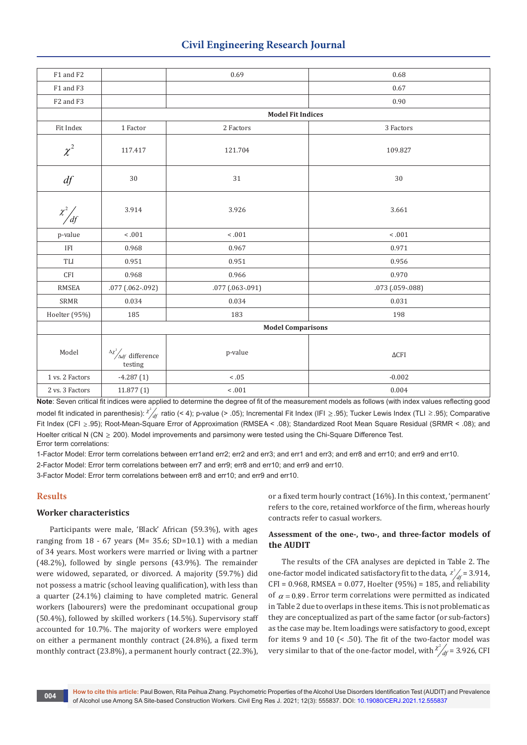# **Civil Engineering Research Journal**

| F1 and F2              |                                                         | 0.69               | 0.68               |  |  |  |
|------------------------|---------------------------------------------------------|--------------------|--------------------|--|--|--|
| F1 and F3              |                                                         |                    | 0.67               |  |  |  |
| F2 and F3              |                                                         |                    | 0.90               |  |  |  |
|                        | <b>Model Fit Indices</b>                                |                    |                    |  |  |  |
| Fit Index              | $1\mbox{ Factor}$                                       | 2 Factors          | 3 Factors          |  |  |  |
| $\chi^2$               | 117.417                                                 | 121.704<br>109.827 |                    |  |  |  |
| df                     | $30\,$                                                  | 31                 | 30                 |  |  |  |
| $\chi^2 / \frac{df}{}$ | 3.914                                                   | 3.926              | 3.661              |  |  |  |
| p-value                | 1001                                                    | 1001               | $-.001$            |  |  |  |
| IFI                    | 0.968                                                   | 0.967              | 0.971              |  |  |  |
| TLI                    | 0.951                                                   | 0.951              | 0.956              |  |  |  |
| <b>CFI</b>             | 0.968                                                   | 0.966              | 0.970              |  |  |  |
| <b>RMSEA</b>           | .077 (.062-.092)                                        | .077 (.063-.091)   | .073 (.059-.088)   |  |  |  |
| SRMR                   | 0.034                                                   | 0.034              | 0.031              |  |  |  |
| Hoelter (95%)          | 185                                                     | 183                | 198                |  |  |  |
|                        | <b>Model Comparisons</b>                                |                    |                    |  |  |  |
| Model                  | $\frac{\Delta \chi^2}{\Delta df}$ difference<br>testing | p-value            | $\Delta {\rm CFI}$ |  |  |  |
| 1 vs. 2 Factors        | $-4.287(1)$                                             | $< .05$            | $-0.002$           |  |  |  |
| 2 vs. 3 Factors        | 11.877(1)                                               | $-.001$            | 0.004              |  |  |  |

**Note**: Seven critical fit indices were applied to determine the degree of fit of the measurement models as follows (with index values reflecting good model fit indicated in parenthesis): <sup>x 2</sup> df ratio (< 4); p-value (> .05); Incremental Fit Index (IFI ≥ .95); Tucker Lewis Index (TLI ≥ .95); Comparative Fit Index (CFI ≥ .95); Root-Mean-Square Error of Approximation (RMSEA < .08); Standardized Root Mean Square Residual (SRMR < .08); and Hoelter critical N (CN > 200). Model improvements and parsimony were tested using the Chi-Square Difference Test. Error term correlations:

1-Factor Model: Error term correlations between err1and err2; err2 and err3; and err1 and err3; and err8 and err10; and err9 and err10.

2-Factor Model: Error term correlations between err7 and err9; err8 and err10; and err9 and err10.

3-Factor Model: Error term correlations between err8 and err10; and err9 and err10.

# **Results**

# **Worker characteristics**

Participants were male, 'Black' African (59.3%), with ages ranging from  $18 - 67$  years (M= 35.6; SD=10.1) with a median of 34 years. Most workers were married or living with a partner (48.2%), followed by single persons (43.9%). The remainder were widowed, separated, or divorced. A majority (59.7%) did not possess a matric (school leaving qualification), with less than a quarter (24.1%) claiming to have completed matric. General workers (labourers) were the predominant occupational group (50.4%), followed by skilled workers (14.5%). Supervisory staff accounted for 10.7%. The majority of workers were employed on either a permanent monthly contract (24.8%), a fixed term monthly contract (23.8%), a permanent hourly contract (22.3%),

or a fixed term hourly contract (16%). In this context, 'permanent' refers to the core, retained workforce of the firm, whereas hourly contracts refer to casual workers.

# **Assessment of the one-, two-, and three-factor models of the AUDIT**

The results of the CFA analyses are depicted in Table 2. The one-factor model indicated satisfactory fit to the data,  $\chi^2/df = 3.914$ , CFI = 0.968, RMSEA = 0.077, Hoelter (95%) = 185, and reliability of  $\alpha$  = 0.89. Error term correlations were permitted as indicated in Table 2 due to overlaps in these items. This is not problematic as they are conceptualized as part of the same factor (or sub-factors) as the case may be. Item loadings were satisfactory to good, except for items 9 and 10 (< .50). The fit of the two-factor model was very similar to that of the one-factor model, with  $\chi^2/df = 3.926$ , CFI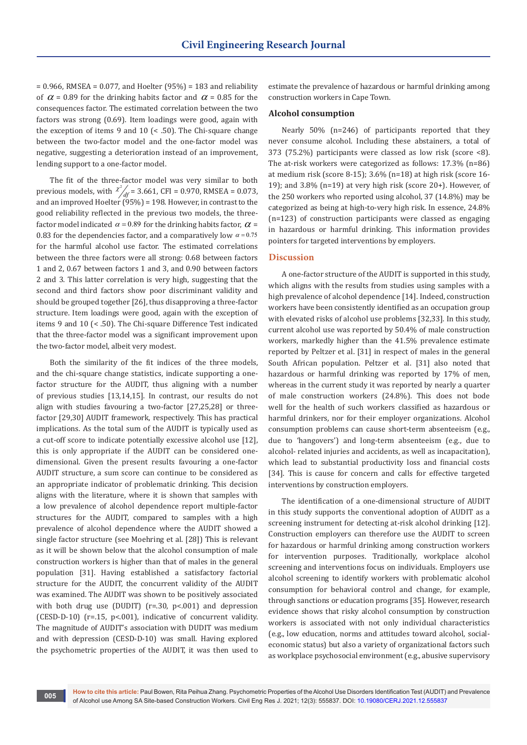$= 0.966$ , RMSEA = 0.077, and Hoelter (95%) = 183 and reliability of  $\alpha$  = 0.89 for the drinking habits factor and  $\alpha$  = 0.85 for the consequences factor. The estimated correlation between the two factors was strong (0.69). Item loadings were good, again with the exception of items 9 and 10 (< .50). The Chi-square change between the two-factor model and the one-factor model was negative, suggesting a deterioration instead of an improvement, lending support to a one-factor model.

The fit of the three-factor model was very similar to both previous models, with  $\chi^2/4f = 3.661$ , CFI = 0.970, RMSEA = 0.073, and an improved Hoelter (95%) = 198. However, in contrast to the good reliability reflected in the previous two models, the threefactor model indicated  $\alpha$  = 0.89 for the drinking habits factor,  $\alpha$  = 0.83 for the dependencies factor, and a comparatively low  $\alpha$  = 0.75 for the harmful alcohol use factor. The estimated correlations between the three factors were all strong: 0.68 between factors 1 and 2, 0.67 between factors 1 and 3, and 0.90 between factors 2 and 3. This latter correlation is very high, suggesting that the second and third factors show poor discriminant validity and should be grouped together [26], thus disapproving a three-factor structure. Item loadings were good, again with the exception of items 9 and 10 (< .50). The Chi-square Difference Test indicated that the three-factor model was a significant improvement upon the two-factor model, albeit very modest.

Both the similarity of the fit indices of the three models, and the chi-square change statistics, indicate supporting a onefactor structure for the AUDIT, thus aligning with a number of previous studies [13,14,15]. In contrast, our results do not align with studies favouring a two-factor [27,25,28] or threefactor [29,30] AUDIT framework, respectively. This has practical implications. As the total sum of the AUDIT is typically used as a cut-off score to indicate potentially excessive alcohol use [12], this is only appropriate if the AUDIT can be considered onedimensional. Given the present results favouring a one-factor AUDIT structure, a sum score can continue to be considered as an appropriate indicator of problematic drinking. This decision aligns with the literature, where it is shown that samples with a low prevalence of alcohol dependence report multiple-factor structures for the AUDIT, compared to samples with a high prevalence of alcohol dependence where the AUDIT showed a single factor structure (see Moehring et al. [28]) This is relevant as it will be shown below that the alcohol consumption of male construction workers is higher than that of males in the general population [31]. Having established a satisfactory factorial structure for the AUDIT, the concurrent validity of the AUDIT was examined. The AUDIT was shown to be positively associated with both drug use (DUDIT) (r=.30, p<.001) and depression (CESD-D-10) (r=.15, p<.001), indicative of concurrent validity. The magnitude of AUDIT's association with DUDIT was medium and with depression (CESD-D-10) was small. Having explored the psychometric properties of the AUDIT, it was then used to

estimate the prevalence of hazardous or harmful drinking among construction workers in Cape Town.

### **Alcohol consumption**

Nearly 50% (n=246) of participants reported that they never consume alcohol. Including these abstainers, a total of 373 (75.2%) participants were classed as low risk (score <8). The at-risk workers were categorized as follows: 17.3% (n=86) at medium risk (score 8-15); 3.6% (n=18) at high risk (score 16- 19); and 3.8% (n=19) at very high risk (score 20+). However, of the 250 workers who reported using alcohol, 37 (14.8%) may be categorized as being at high-to-very high risk. In essence, 24.8% (n=123) of construction participants were classed as engaging in hazardous or harmful drinking. This information provides pointers for targeted interventions by employers.

### **Discussion**

A one-factor structure of the AUDIT is supported in this study, which aligns with the results from studies using samples with a high prevalence of alcohol dependence [14]. Indeed, construction workers have been consistently identified as an occupation group with elevated risks of alcohol use problems [32,33]. In this study, current alcohol use was reported by 50.4% of male construction workers, markedly higher than the 41.5% prevalence estimate reported by Peltzer et al. [31] in respect of males in the general South African population. Peltzer et al. [31] also noted that hazardous or harmful drinking was reported by 17% of men, whereas in the current study it was reported by nearly a quarter of male construction workers (24.8%). This does not bode well for the health of such workers classified as hazardous or harmful drinkers, nor for their employer organizations. Alcohol consumption problems can cause short-term absenteeism (e.g., due to 'hangovers') and long-term absenteeism (e.g., due to alcohol- related injuries and accidents, as well as incapacitation), which lead to substantial productivity loss and financial costs [34]. This is cause for concern and calls for effective targeted interventions by construction employers.

The identification of a one-dimensional structure of AUDIT in this study supports the conventional adoption of AUDIT as a screening instrument for detecting at-risk alcohol drinking [12]. Construction employers can therefore use the AUDIT to screen for hazardous or harmful drinking among construction workers for intervention purposes. Traditionally, workplace alcohol screening and interventions focus on individuals. Employers use alcohol screening to identify workers with problematic alcohol consumption for behavioral control and change, for example, through sanctions or education programs [35]. However, research evidence shows that risky alcohol consumption by construction workers is associated with not only individual characteristics (e.g., low education, norms and attitudes toward alcohol, socialeconomic status) but also a variety of organizational factors such as workplace psychosocial environment (e.g., abusive supervisory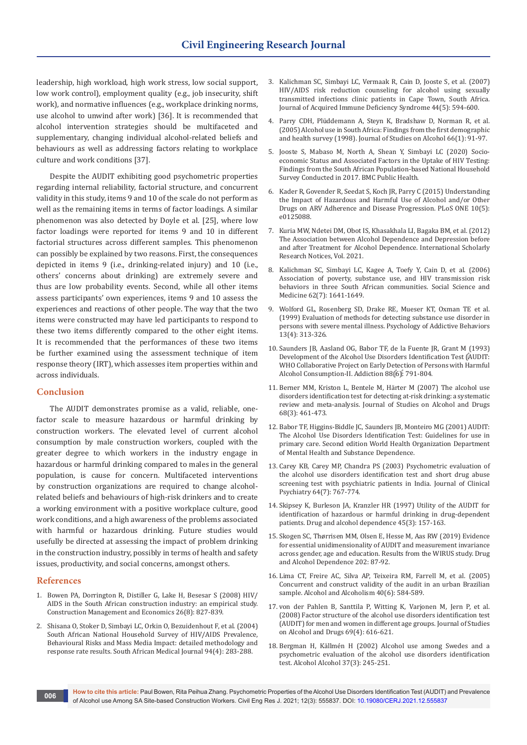leadership, high workload, high work stress, low social support, low work control), employment quality (e.g., job insecurity, shift work), and normative influences (e.g., workplace drinking norms, use alcohol to unwind after work) [36]. It is recommended that alcohol intervention strategies should be multifaceted and supplementary, changing individual alcohol-related beliefs and behaviours as well as addressing factors relating to workplace culture and work conditions [37].

Despite the AUDIT exhibiting good psychometric properties regarding internal reliability, factorial structure, and concurrent validity in this study, items 9 and 10 of the scale do not perform as well as the remaining items in terms of factor loadings. A similar phenomenon was also detected by Doyle et al. [25], where low factor loadings were reported for items 9 and 10 in different factorial structures across different samples. This phenomenon can possibly be explained by two reasons. First, the consequences depicted in items 9 (i.e., drinking-related injury) and 10 (i.e., others' concerns about drinking) are extremely severe and thus are low probability events. Second, while all other items assess participants' own experiences, items 9 and 10 assess the experiences and reactions of other people. The way that the two items were constructed may have led participants to respond to these two items differently compared to the other eight items. It is recommended that the performances of these two items be further examined using the assessment technique of item response theory (IRT), which assesses item properties within and across individuals.

# **Conclusion**

The AUDIT demonstrates promise as a valid, reliable, onefactor scale to measure hazardous or harmful drinking by construction workers. The elevated level of current alcohol consumption by male construction workers, coupled with the greater degree to which workers in the industry engage in hazardous or harmful drinking compared to males in the general population, is cause for concern. Multifaceted interventions by construction organizations are required to change alcoholrelated beliefs and behaviours of high-risk drinkers and to create a working environment with a positive workplace culture, good work conditions, and a high awareness of the problems associated with harmful or hazardous drinking. Future studies would usefully be directed at assessing the impact of problem drinking in the construction industry, possibly in terms of health and safety issues, productivity, and social concerns, amongst others.

### **References**

- 1. [Bowen PA, Dorrington R, Distiller G, Lake H, Besesar S \(2008\) HIV/](https://www.tandfonline.com/doi/abs/10.1080/01446190802061225) [AIDS in the South African construction industry: an empirical study.](https://www.tandfonline.com/doi/abs/10.1080/01446190802061225)  [Construction Management and Economics 26\(8\): 827-839.](https://www.tandfonline.com/doi/abs/10.1080/01446190802061225)
- 2. [Shisana O, Stoker D, Simbayi LC, Orkin O, Bezuidenhout F, et al. \(2004\)](https://pubmed.ncbi.nlm.nih.gov/15150943/)  [South African National Household Survey of HIV/AIDS Prevalence,](https://pubmed.ncbi.nlm.nih.gov/15150943/)  [Behavioural Risks and Mass Media Impact: detailed methodology and](https://pubmed.ncbi.nlm.nih.gov/15150943/)  [response rate results. South African Medical Journal 94\(4\): 283-288.](https://pubmed.ncbi.nlm.nih.gov/15150943/)
- 3. [Kalichman SC, Simbayi LC, Vermaak R, Cain D, Jooste S, et al. \(2007\)](https://pubmed.ncbi.nlm.nih.gov/17325606/)  [HIV/AIDS risk reduction counseling for alcohol using sexually](https://pubmed.ncbi.nlm.nih.gov/17325606/)  [transmitted infections clinic patients in Cape Town, South Africa.](https://pubmed.ncbi.nlm.nih.gov/17325606/)  [Journal of Acquired Immune Deficiency Syndrome 44\(5\): 594-600.](https://pubmed.ncbi.nlm.nih.gov/17325606/)
- 4. [Parry CDH, Plüddemann A, Steyn K, Bradshaw D, Norman R, et al.](https://pubmed.ncbi.nlm.nih.gov/15830908/)  [\(2005\) Alcohol use in South Africa: Findings from the first demographic](https://pubmed.ncbi.nlm.nih.gov/15830908/)  [and health survey \(1998\). Journal of Studies on Alcohol 66\(1\): 91-97.](https://pubmed.ncbi.nlm.nih.gov/15830908/)
- 5. Jooste S, Mabaso M, North A, Shean Y, Simbayi LC (2020) Socioeconomic Status and Associated Factors in the Uptake of HIV Testing: Findings from the South African Population-based National Household Survey Conducted in 2017. BMC Public Health.
- 6. [Kader R, Govender R, Seedat S, Koch JR, Parry C \(2015\) Understanding](https://journals.plos.org/plosone/article?id=10.1371/journal.pone.0125088)  [the Impact of Hazardous and Harmful Use of Alcohol and/or Other](https://journals.plos.org/plosone/article?id=10.1371/journal.pone.0125088)  [Drugs on ARV Adherence and Disease Progression. PLoS ONE 10\(5\):](https://journals.plos.org/plosone/article?id=10.1371/journal.pone.0125088)  [e0125088.](https://journals.plos.org/plosone/article?id=10.1371/journal.pone.0125088)
- 7. [Kuria MW, Ndetei DM, Obot IS, Khasakhala LI, Bagaka BM, et al. \(2012\)](https://pubmed.ncbi.nlm.nih.gov/23738204/)  [The Association between Alcohol Dependence and Depression before](https://pubmed.ncbi.nlm.nih.gov/23738204/)  [and after Treatment for Alcohol Dependence. International Scholarly](https://pubmed.ncbi.nlm.nih.gov/23738204/)  Research Notices, Vol. 2021.
- 8. [Kalichman SC, Simbayi LC, Kagee A, Toefy Y, Cain D, et al. \(2006\)](https://pubmed.ncbi.nlm.nih.gov/16213078/)  [Association of poverty, substance use, and HIV transmission risk](https://pubmed.ncbi.nlm.nih.gov/16213078/)  [behaviors in three South African communities. Social Science and](https://pubmed.ncbi.nlm.nih.gov/16213078/)  [Medicine 62\(7\): 1641-1649.](https://pubmed.ncbi.nlm.nih.gov/16213078/)
- 9. [Wolford GL, Rosenberg SD, Drake RE, Mueser KT, Oxman TE et al.](https://psycnet.apa.org/buy/1999-01804-007)  [\(1999\) Evaluation of methods for detecting substance use disorder in](https://psycnet.apa.org/buy/1999-01804-007)  [persons with severe mental illness. Psychology of Addictive Behaviors](https://psycnet.apa.org/buy/1999-01804-007)  [13\(4\): 313-326.](https://psycnet.apa.org/buy/1999-01804-007)
- 10. [Saunders JB, Aasland OG, Babor TF, de la Fuente JR, Grant M \(1993\)](https://pubmed.ncbi.nlm.nih.gov/8329970/)  [Development of the Alcohol Use Disorders Identification Test \(AUDIT:](https://pubmed.ncbi.nlm.nih.gov/8329970/)  [WHO Collaborative Project on Early Detection of Persons with Harmful](https://pubmed.ncbi.nlm.nih.gov/8329970/)  [Alcohol Consumption-II. Addiction 88\(6\): 791-804.](https://pubmed.ncbi.nlm.nih.gov/8329970/)
- 11. [Berner MM, Kriston L, Bentele M, Härter M \(2007\) The alcohol use](https://pubmed.ncbi.nlm.nih.gov/17446987/)  [disorders identification test for detecting at-risk drinking: a systematic](https://pubmed.ncbi.nlm.nih.gov/17446987/)  [review and meta-analysis. Journal of Studies on Alcohol and Drugs](https://pubmed.ncbi.nlm.nih.gov/17446987/)  [68\(3\): 461-473.](https://pubmed.ncbi.nlm.nih.gov/17446987/)
- 12. Babor TF, Higgins-Biddle JC, Saunders JB, Monteiro MG (2001) AUDIT: The Alcohol Use Disorders Identification Test: Guidelines for use in primary care. Second edition World Health Organization Department of Mental Health and Substance Dependence.
- 13. [Carey KB, Carey MP, Chandra PS \(2003\) Psychometric evaluation of](https://www.ncbi.nlm.nih.gov/pmc/articles/PMC2441940/)  [the alcohol use disorders identification test and short drug abuse](https://www.ncbi.nlm.nih.gov/pmc/articles/PMC2441940/)  [screening test with psychiatric patients in India. Journal of Clinical](https://www.ncbi.nlm.nih.gov/pmc/articles/PMC2441940/)  [Psychiatry 64\(7\): 767-774.](https://www.ncbi.nlm.nih.gov/pmc/articles/PMC2441940/)
- 14. [Skipsey K, Burleson JA, Kranzler HR \(1997\) Utility of the AUDIT for](https://www.sciencedirect.com/science/article/abs/pii/S0376871697013537)  [identification of hazardous or harmful drinking in drug-dependent](https://www.sciencedirect.com/science/article/abs/pii/S0376871697013537)  [patients. Drug and alcohol dependence 45\(3\): 157-163.](https://www.sciencedirect.com/science/article/abs/pii/S0376871697013537)
- 15. [Skogen SC, Thørrisen MM, Olsen E, Hesse M, Aas RW \(2019\) Evidence](https://www.sciencedirect.com/science/article/pii/S0376871619302133)  [for essential unidimensionality of AUDIT and measurement invariance](https://www.sciencedirect.com/science/article/pii/S0376871619302133)  [across gender, age and education. Results from the WIRUS study. Drug](https://www.sciencedirect.com/science/article/pii/S0376871619302133)  [and Alcohol Dependence 202: 87-92.](https://www.sciencedirect.com/science/article/pii/S0376871619302133)
- 16. [Lima CT, Freire AC, Silva AP, Teixeira RM, Farrell M, et al. \(2005\)](https://pubmed.ncbi.nlm.nih.gov/16143704/)  [Concurrent and construct validity of the audit in an urban Brazilian](https://pubmed.ncbi.nlm.nih.gov/16143704/)  [sample. Alcohol and Alcoholism 40\(6\): 584-589.](https://pubmed.ncbi.nlm.nih.gov/16143704/)
- 17. [von der Pahlen B, Santtila P, Witting K, Varjonen M, Jern P, et al.](https://pubmed.ncbi.nlm.nih.gov/18612579/)  [\(2008\) Factor structure of the alcohol use disorders identification test](https://pubmed.ncbi.nlm.nih.gov/18612579/)  [\(AUDIT\) for men and women in different age groups. Journal of Studies](https://pubmed.ncbi.nlm.nih.gov/18612579/)  [on Alcohol and Drugs 69\(4\): 616-621.](https://pubmed.ncbi.nlm.nih.gov/18612579/)
- 18. [Bergman H, Källmén H \(2002\) Alcohol use among Swedes and a](https://pubmed.ncbi.nlm.nih.gov/12003912/)  [psychometric evaluation of the alcohol use disorders identification](https://pubmed.ncbi.nlm.nih.gov/12003912/)  [test. Alcohol Alcohol 37\(3\): 245-251.](https://pubmed.ncbi.nlm.nih.gov/12003912/)